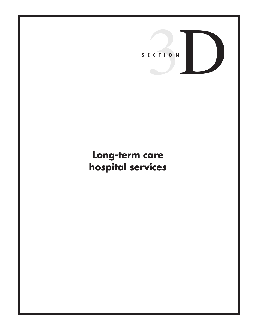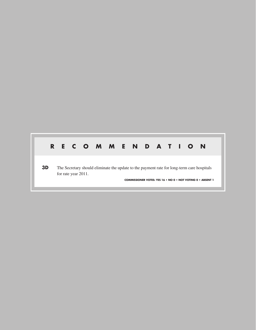# **R E C O M M E N D A T I O N**

**3D** The Secretary should eliminate the update to the payment rate for long-term care hospitals for rate year 2011.

**COMMISSIONER VOTES: YES 16 • NO 0 • NOT VOTING 0 • ABSENT 1**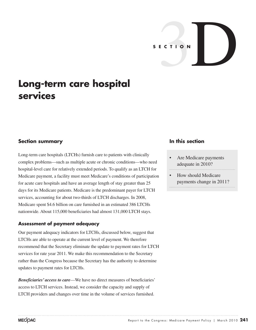

# **Long-term care hospital services**

### **Section summary**

Long-term care hospitals (LTCHs) furnish care to patients with clinically complex problems—such as multiple acute or chronic conditions—who need hospital-level care for relatively extended periods. To qualify as an LTCH for Medicare payment, a facility must meet Medicare's conditions of participation for acute care hospitals and have an average length of stay greater than 25 days for its Medicare patients. Medicare is the predominant payer for LTCH services, accounting for about two-thirds of LTCH discharges. In 2008, Medicare spent \$4.6 billion on care furnished in an estimated 386 LTCHs nationwide. About 115,000 beneficiaries had almost 131,000 LTCH stays.

#### **Assessment of payment adequacy**

Our payment adequacy indicators for LTCHs, discussed below, suggest that LTCHs are able to operate at the current level of payment. We therefore recommend that the Secretary eliminate the update to payment rates for LTCH services for rate year 2011. We make this recommendation to the Secretary rather than the Congress because the Secretary has the authority to determine updates to payment rates for LTCHs.

*Beneficiaries' access to care*—We have no direct measures of beneficiaries' access to LTCH services. Instead, we consider the capacity and supply of LTCH providers and changes over time in the volume of services furnished.

## **In this section**

- Are Medicare payments adequate in 2010?
- How should Medicare payments change in 2011?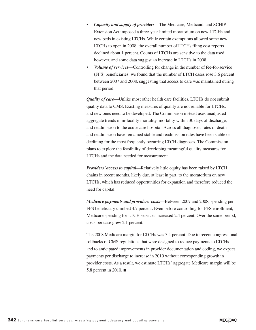- *Capacity and supply of providers*—The Medicare, Medicaid, and SCHIP Extension Act imposed a three-year limited moratorium on new LTCHs and new beds in existing LTCHs. While certain exemptions allowed some new LTCHs to open in 2008, the overall number of LTCHs filing cost reports declined about 1 percent. Counts of LTCHs are sensitive to the data used, however, and some data suggest an increase in LTCHs in 2008.
- *Volume of services*—Controlling for change in the number of fee-for-service (FFS) beneficiaries, we found that the number of LTCH cases rose 3.6 percent between 2007 and 2008, suggesting that access to care was maintained during that period.

*Quality of care*—Unlike most other health care facilities, LTCHs do not submit quality data to CMS. Existing measures of quality are not reliable for LTCHs, and new ones need to be developed. The Commission instead uses unadjusted aggregate trends in in-facility mortality, mortality within 30 days of discharge, and readmission to the acute care hospital. Across all diagnoses, rates of death and readmission have remained stable and readmission rates have been stable or declining for the most frequently occurring LTCH diagnoses. The Commission plans to explore the feasibility of developing meaningful quality measures for LTCHs and the data needed for measurement.

*Providers' access to capital*—Relatively little equity has been raised by LTCH chains in recent months, likely due, at least in part, to the moratorium on new LTCHs, which has reduced opportunities for expansion and therefore reduced the need for capital.

*Medicare payments and providers' costs*—Between 2007 and 2008, spending per FFS beneficiary climbed 4.7 percent. Even before controlling for FFS enrollment, Medicare spending for LTCH services increased 2.4 percent. Over the same period, costs per case grew 2.1 percent.

The 2008 Medicare margin for LTCHs was 3.4 percent. Due to recent congressional rollbacks of CMS regulations that were designed to reduce payments to LTCHs and to anticipated improvements in provider documentation and coding, we expect payments per discharge to increase in 2010 without corresponding growth in provider costs. As a result, we estimate LTCHs' aggregate Medicare margin will be 5.8 percent in 2010. ■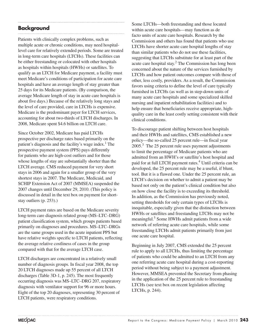## **Background**

Patients with clinically complex problems, such as multiple acute or chronic conditions, may need hospitallevel care for relatively extended periods. Some are treated in long-term care hospitals (LTCHs). These facilities can be either freestanding or colocated with other hospitals as hospitals within hospitals (HWHs) or satellites. To qualify as an LTCH for Medicare payment, a facility must meet Medicare's conditions of participation for acute care hospitals and have an average length of stay greater than 25 days for its Medicare patients. (By comparison, the average Medicare length of stay in acute care hospitals is about five days.) Because of the relatively long stays and the level of care provided, care in LTCHs is expensive. Medicare is the predominant payer for LTCH services, accounting for about two-thirds of LTCH discharges. In 2008, Medicare spent \$4.6 billion on LTCH care.

Since October 2002, Medicare has paid LTCHs prospective per discharge rates based primarily on the patient's diagnosis and the facility's wage index.<sup>1</sup> The prospective payment system (PPS) pays differently for patients who are high-cost outliers and for those whose lengths of stay are substantially shorter than the LTCH average. CMS reduced payment for very short stays in 2006 and again for a smaller group of the very shortest stays in 2007. The Medicare, Medicaid, and SCHIP Extension Act of 2007 (MMSEA) suspended the 2007 changes until December 29, 2010. (This policy is discussed in detail in the text box on payment for shortstay outliers (p. 253).)

LTCH payment rates are based on the Medicare severity long-term care diagnosis related group (MS–LTC–DRG) patient classification system, which groups patients based primarily on diagnoses and procedures. MS–LTC–DRGs are the same groups used in the acute inpatient PPS but have relative weights specific to LTCH patients, reflecting the average relative costliness of cases in the group compared with that for the average LTCH case.

LTCH discharges are concentrated in a relatively small number of diagnosis groups. In fiscal year 2008, the top 20 LTCH diagnoses made up 55 percent of all LTCH discharges (Table 3D-1, p. 245). The most frequently occurring diagnosis was MS–LTC–DRG 207, respiratory diagnosis with ventilator support for 96 or more hours. Eight of the top 20 diagnoses, representing 30 percent of LTCH patients, were respiratory conditions.

Some LTCHs—both freestanding and those located within acute care hospitals—may function as de facto units of acute care hospitals. Research by the Commission and others has found that patients who use LTCHs have shorter acute care hospital lengths of stay than similar patients who do not use these facilities, suggesting that LTCHs substitute for at least part of the acute care hospital stay. ${}^{2}$  The Commission has long been concerned about the nature of the services furnished by LTCHs and how patient outcomes compare with those of other, less costly, providers. As a result, the Commission favors using criteria to define the level of care typically furnished in LTCHs (as well as in step-down units of many acute care hospitals and some specialized skilled nursing and inpatient rehabilitation facilities) and to help ensure that beneficiaries receive appropriate, highquality care in the least costly setting consistent with their clinical conditions.

To discourage patient shifting between host hospitals and their HWHs and satellites, CMS established a new policy—the so-called 25 percent rule—in fiscal year 2005.3 The 25 percent rule uses payment adjustments to limit the percentage of Medicare patients who are admitted from an HWH's or satellite's host hospital and paid for at full LTCH payment rates.<sup>4</sup> Until criteria can be developed, the 25 percent rule may be a useful, if blunt, tool. But it is a flawed one. Under the 25 percent rule, an LTCH's decision on whether to admit a patient may be based not only on the patient's clinical condition but also on how close the facility is to exceeding its threshold. In addition, as the Commission has previously noted, setting thresholds for only certain types of LTCHs is inequitable, especially given that the distinction between HWHs or satellites and freestanding LTCHs may not be meaningful.<sup>5</sup> Some HWHs admit patients from a wide network of referring acute care hospitals, while some freestanding LTCHs admit patients primarily from just one acute care hospital.

Beginning in July 2007, CMS extended the 25 percent rule to apply to all LTCHs, thus limiting the percentage of patients who could be admitted to an LTCH from any one referring acute care hospital during a cost-reporting period without being subject to a payment adjustment. However, MMSEA prevented the Secretary from phasing in the application of the 25 percent rule to freestanding LTCHs (see text box on recent legislation affecting LTCHs, p. 244).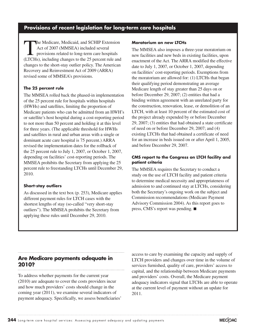## **Provisions of recent legislation for long-term care hospitals**

The Medicare, Medicaid, and SCHIP Extension<br>
Act of 2007 (MMSEA) included several<br>
provisions related to long-term care hospitals<br>
(TCH<sub>2</sub>) including changes to the 25 percent rule and Act of 2007 (MMSEA) included several (LTCHs), including changes to the 25 percent rule and changes to the short-stay outlier policy. The American Recovery and Reinvestment Act of 2009 (ARRA) revised some of MMSEA's provisions.

#### **The 25 percent rule**

The MMSEA rolled back the phased-in implementation of the 25 percent rule for hospitals within hospitals (HWHs) and satellites, limiting the proportion of Medicare patients who can be admitted from an HWH's or satellite's host hospital during a cost-reporting period to not more than 50 percent and holding it at this level for three years. (The applicable threshold for HWHs and satellites in rural and urban areas with a single or dominant acute care hospital is 75 percent.) ARRA revised the implementation dates for the rollback of the 25 percent rule to July 1, 2007, or October 1, 2007, depending on facilities' cost-reporting periods. The MMSEA prohibits the Secretary from applying the 25 percent rule to freestanding LTCHs until December 29, 2010.

#### **Short-stay outliers**

As discussed in the text box (p. 253), Medicare applies different payment rules for LTCH cases with the shortest lengths of stay (so-called "very short-stay outliers"). The MMSEA prohibits the Secretary from applying these rules until December 29, 2010.

#### **Moratorium on new LTCHs**

The MMSEA also imposes a three-year moratorium on new facilities and new beds in existing facilities, upon enactment of the Act. The ARRA modified the effective date to July 1, 2007, or October 1, 2007, depending on facilities' cost-reporting periods. Exemptions from the moratorium are allowed for: (1) LTCHs that began their qualifying period demonstrating an average Medicare length of stay greater than 25 days on or before December 29, 2007; (2) entities that had a binding written agreement with an unrelated party for the construction, renovation, lease, or demolition of an LTCH, with at least 10 percent of the estimated cost of the project already expended by or before December 29, 2007; (3) entities that had obtained a state certificate of need on or before December 29, 2007; and (4) existing LTCHs that had obtained a certificate of need for an increase in beds issued on or after April 1, 2005, and before December 29, 2007.

#### **CMS report to the Congress on LTCH facility and patient criteria**

The MMSEA requires the Secretary to conduct a study on the use of LTCH facility and patient criteria to determine medical necessity and appropriateness of admission to and continued stay at LTCHs, considering both the Secretary's ongoing work on the subject and Commission recommendations (Medicare Payment Advisory Commission 2004). As this report goes to press, CMS's report was pending. ■

## **Are Medicare payments adequate in 2010?**

To address whether payments for the current year (2010) are adequate to cover the costs providers incur and how much providers' costs should change in the coming year (2011), we examine several indicators of payment adequacy. Specifically, we assess beneficiaries'

access to care by examining the capacity and supply of LTCH providers and changes over time in the volume of services furnished, quality of care, providers' access to capital, and the relationship between Medicare payments and providers' costs. Overall, the Medicare payment adequacy indicators signal that LTCHs are able to operate at the current level of payment without an update for 2011.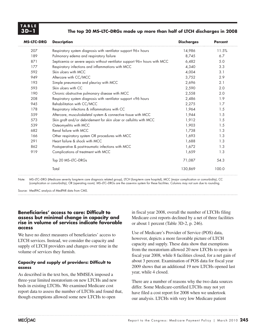#### **3D –1 The top 20 MS–LTC–DRGs made up more than half of LTCH discharges in 2008**

| <b>MS-LTC-DRG</b> | <b>Description</b>                                                        | <b>Discharges</b> | <b>Percent</b> |
|-------------------|---------------------------------------------------------------------------|-------------------|----------------|
| 207               | Respiratory system diagnosis with ventilator support 96+ hours            | 14,986            | 11.5%          |
| 189               | Pulmonary edema and respiratory failure                                   | 8,745             | 6.7            |
| 871               | Septicemia or severe sepsis without ventilator support 96+ hours with MCC | 6,482             | 5.0            |
| 177               | Respiratory infections and inflammations with MCC                         | 4,340             | 3.3            |
| 592               | Skin ulcers with MCC                                                      | 4,004             | 3.1            |
| 949               | Aftercare with CC/MCC                                                     | 3,752             | 2.9            |
| 193               | Simple pneumonia and pleurisy with MCC                                    | 2,696             | 2.1            |
| 593               | Skin ulcers with CC                                                       | 2,590             | 2.0            |
| 190               | Chronic obstructive pulmonary disease with MCC                            | 2,558             | 2.0            |
| 208               | Respiratory system diagnosis with ventilator support <96 hours            | 2,486             | 1.9            |
| 945               | Rehabilitation with CC/MCC                                                | 2,275             | 1.7            |
| 178               | Respiratory infections & inflammations with CC                            | 1,964             | 1.5            |
| 559               | Aftercare, musculoskeletal system & connective tissue with MCC            | 1,944             | 1.5            |
| 573               | Skin graft and/or debridement for skin ulcer or cellulitis with MCC       | 1,912             | 1.5            |
| 539               | Osteomyelitis with MCC                                                    | 1,903             | 1.5            |
| 682               | Renal failure with MCC                                                    | 1,738             | 1.3            |
| 166               | Other respiratory system OR procedures with MCC                           | 1,693             | 1.3            |
| 291               | Heart failure & shock with MCC                                            | 1,688             | 1.3            |
| 862               | Postoperative & post-traumatic infections with MCC                        | 1,672             | 1.3            |
| 919               | Complications of treatment with MCC                                       | 1,659             | 1.3            |
|                   | Top 20 MS-LTC-DRGs                                                        | 71,087            | 54.3           |
|                   | Total                                                                     | 130,869           | 100.0          |

Note: MS-LTC-DRG (Medicare severity long-term care diagnosis related group), LTCH (long-term care hospital), MCC (major complication or comorbidity), CC (complication or comorbidity), OR (operating room). MS–LTC–DRGs are the case-mix system for these facilities. Columns may not sum due to rounding.

Source: MedPAC analysis of MedPAR data from CMS.

#### **Beneficiaries' access to care: Difficult to assess but minimal change in capacity and rise in volume of services indicate favorable access**

We have no direct measures of beneficiaries' access to LTCH services. Instead, we consider the capacity and supply of LTCH providers and changes over time in the volume of services they furnish.

#### **Capacity and supply of providers: Difficult to assess**

As described in the text box, the MMSEA imposed a three-year limited moratorium on new LTCHs and new beds in existing LTCHs. We examined Medicare cost report data to assess the number of LTCHs and found that, though exemptions allowed some new LTCHs to open

in fiscal year 2008, overall the number of LTCHs filing Medicare cost reports declined by a net of three facilities or about 1 percent (Table 3D-2, p. 246).

Use of Medicare's Provider of Service (POS) data, however, depicts a more favorable picture of LTCH capacity and supply. These data show that exemptions from the moratorium allowed 20 new LTCHs to open in fiscal year 2008, while 8 facilities closed, for a net gain of about 3 percent. Examination of POS data for fiscal year 2009 shows that an additional 19 new LTCHs opened last year, while 4 closed.

There are a number of reasons why the two data sources differ. Some Medicare-certified LTCHs may not yet have filed a cost report for 2008 when we undertook our analysis. LTCHs with very low Medicare patient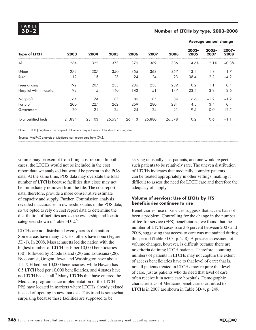#### **3D –2 Number of LTCHs by type, 2003–2008**

**Average annual change**

|                          | 2003   | 2004   | 2005   | 2006   | 2007   | 2008   | under annual change |                  |                  |  |
|--------------------------|--------|--------|--------|--------|--------|--------|---------------------|------------------|------------------|--|
| <b>Type of LTCH</b>      |        |        |        |        |        |        | $2003 -$<br>2005    | $2005 -$<br>2007 | $2007 -$<br>2008 |  |
| All                      | 284    | 322    | 373    | 379    | 389    | 386    | 14.6%               | 2.1%             | $-0.8%$          |  |
| Urban                    | 272    | 307    | 350    | 355    | 363    | 357    | 13.4                | 1.8              | $-1.7$           |  |
| Rural                    | 12     | 15     | 23     | 24     | 24     | 23     | 38.4                | 2.2              | $-4.2$           |  |
| Freestanding             | 192    | 207    | 233    | 236    | 238    | 239    | 10.2                | 1.1              | 0.4              |  |
| Hospital within hospital | 92     | 115    | 140    | 143    | 151    | 147    | 23.4                | 3.9              | $-2.6$           |  |
| Nonprofit                | 64     | 74     | 87     | 86     | 85     | 84     | 16.6                | $-1.2$           | $-1.2$           |  |
| For profit               | 200    | 227    | 262    | 269    | 280    | 281    | 14.5                | 3.4              | 0.4              |  |
| Government               | 20     | 21     | 24     | 24     | 24     | 21     | 9.5                 | 0.0              | $-12.5$          |  |
| Total certified beds     | 21,834 | 23,103 | 26,534 | 26,413 | 26,880 | 26,578 | 10.2                | 0.6              | $-1.1$           |  |

Note: LTCH (long-term care hospital). Numbers may not sum to total due to missing data.

Source: MedPAC analysis of Medicare cost report data from CMS.

volume may be exempt from filing cost reports. In both cases, the LTCHs would not be included in the cost report data we analyzed but would be present in the POS data. At the same time, POS data may overstate the total number of LTCHs because facilities that close may not be immediately removed from the file. The cost report data, therefore, provide a more conservative estimate of capacity and supply. Further, Commission analysis revealed inaccuracies in ownership status in the POS data, so we opted to rely on cost report data to determine the distribution of facilities across the ownership and location categories shown in Table 3D-2.<sup>6</sup>

LTCHs are not distributed evenly across the nation. Some areas have many LTCHs; others have none (Figure 3D-1). In 2008, Massachusetts led the nation with the highest number of LTCH beds per 10,000 beneficiaries (30), followed by Rhode Island (29) and Louisiana (28). By contrast, Oregon, Iowa, and Washington have about 1 LTCH bed per 10,000 beneficiaries, while Hawaii has 0.5 LTCH bed per 10,000 beneficiaries, and 4 states have no LTCH beds at all.<sup>7</sup> Many LTCHs that have entered the Medicare program since implementation of the LTCH PPS have located in markets where LTCHs already existed instead of opening in new markets. This trend is somewhat surprising because these facilities are supposed to be

serving unusually sick patients, and one would expect such patients to be relatively rare. The uneven distribution of LTCHs indicates that medically complex patients can be treated appropriately in other settings, making it difficult to assess the need for LTCH care and therefore the adequacy of supply.

#### **Volume of services: Use of LTCHs by FFS beneficiaries continues to rise**

Beneficiaries' use of services suggests that access has not been a problem. Controlling for the change in the number of fee-for-service (FFS) beneficiaries, we found that the number of LTCH cases rose 3.6 percent between 2007 and 2008, suggesting that access to care was maintained during this period (Table 3D-3, p. 248). A precise assessment of volume changes, however, is difficult because there are no criteria defining LTCH patients. Therefore, counting numbers of patients in LTCHs may not capture the extent of access beneficiaries have to that level of care; that is, not all patients treated in LTCHs may require that level of care, just as patients who do need that level of care often receive it in acute care hospitals. Demographic characteristics of Medicare beneficiaries admitted to LTCHs in 2008 are shown in Table 3D-4, p. 249.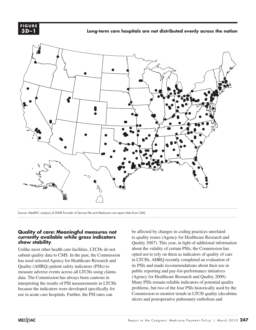

**Long-term care hospitals are not distributed evenly across the nation New long-term care hospitals often enter areas with existing ones FIGURE**



Source: MedPAC analysis of 2008 Provider of Service file and Medicare cost report data from CMS.

#### **Quality of care: Meaningful measures not**  currently available while gross indicators **show stability**

Unlike most other health care facilities, LTCHs do not submit quality data to CMS. In the past, the Commission has used selected Agency for Healthcare Research and Quality (AHRQ) patient safety indicators (PSIs) to measure adverse events across all LTCHs using claims data. The Commission has always been cautious in interpreting the results of PSI measurements in LTCHs because the indicators were developed specifically for use in acute care hospitals. Further, the PSI rates can

be affected by changes in coding practices unrelated to quality issues (Agency for Healthcare Research and Quality 2007). This year, in light of additional information about the validity of certain PSIs, the Commission has opted not to rely on them as indicators of quality of care in LTCHs. AHRQ recently completed an evaluation of its PSIs and made recommendations about their use in public reporting and pay-for-performance initiatives (Agency for Healthcare Research and Quality 2009). Many PSIs remain reliable indicators of potential quality problems, but two of the four PSIs historically used by the Commission to monitor trends in LTCH quality (decubitus ulcers and postoperative pulmonary embolism and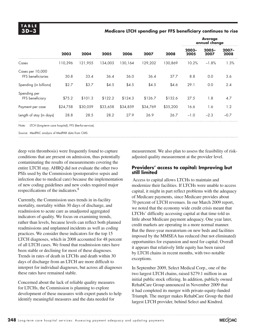#### **3D –3 Medicare LTCH spending per FFS beneficiary continues to rise**

| 2003     | 2004     | 2005     | 2006     | 2007     | 2008     | <b>Average</b><br>annual change |                  |                  |
|----------|----------|----------|----------|----------|----------|---------------------------------|------------------|------------------|
|          |          |          |          |          |          | $2003 -$<br>2005                | $2005 -$<br>2007 | $2007 -$<br>2008 |
| 110,396  | 121.955  | 134,003  | 130,164  | 129,202  | 130,869  | 10.2%                           | $-1.8%$          | 1.3%             |
| 30.8     | 33.4     | 36.4     | 36.0     | 36.4     | 37.7     | 8.8                             | 0.0              | 3.6              |
| \$2.7    | \$3.7    | \$4.5    | \$4.5    | \$4.5    | \$4.6    | 29.1                            | 0.0              | 2.4              |
| \$75.2   | \$101.3  | \$122.2  | \$124.3  | \$126.7  | \$132.6  | 27.5                            | 1.8              | 4.7              |
| \$24,758 | \$30,059 | \$33,658 | \$34,859 | \$34,769 | \$35,200 | 16.6                            | 1.6              | 1.2              |
| 28.8     | 28.5     | 28.2     | 27.9     | 26.9     | 26.7     | $-1.0$                          | $-2.3$           | $-0.7$           |
|          |          |          |          |          |          |                                 |                  |                  |

Note: LTCH (long-term care hospital), FFS (fee-for-service).

Source: MedPAC analysis of MedPAR data from CMS.

deep vein thrombosis) were frequently found to capture conditions that are present on admission, thus potentially contaminating the results of measurements covering the entire LTCH stay. AHRQ did not evaluate the other two PSIs used by the Commission (postoperative sepsis and infection due to medical care) because the implementation of new coding guidelines and new codes required major respecifications of the indicators.<sup>8</sup>

Currently, the Commission uses trends in in-facility mortality, mortality within 30 days of discharge, and readmission to acute care as unadjusted aggregated indicators of quality. We focus on examining trends, rather than levels, because levels can reflect both planned readmissions and unplanned incidents as well as coding practices. We consider these indicators for the top 15 LTCH diagnoses, which in 2008 accounted for 48 percent of all LTCH cases. We found that readmission rates have been stable or declining for most of these diagnoses. Trends in rates of death in LTCHs and death within 30 days of discharge from an LTCH are more difficult to interpret for individual diagnoses, but across all diagnoses these rates have remained stable.

Concerned about the lack of reliable quality measures for LTCHs, the Commission is planning to explore development of these measures with expert panels to help identify meaningful measures and the data needed for

measurement. We also plan to assess the feasibility of riskadjusted quality measurement at the provider level.

#### **Providers' access to capital: Improving but still limited**

 Access to capital allows LTCHs to maintain and modernize their facilities. If LTCHs were unable to access capital, it might in part reflect problems with the adequacy of Medicare payments, since Medicare provides about 70 percent of LTCH revenues. In our March 2009 report, we noted that the economy wide credit crisis meant that LTCHs' difficulty accessing capital at that time told us little about Medicare payment adequacy. One year later, credit markets are operating in a more normal manner. But the three-year moratorium on new beds and facilities imposed by the MMSEA has reduced (but not eliminated) opportunities for expansion and need for capital. Overall it appears that relatively little equity has been raised by LTCH chains in recent months, with two notable exceptions.

In September 2009, Select Medical Corp., one of the two largest LTCH chains, raised \$279.1 million in an initial public stock offering. In addition, publicly owned RehabCare Group announced in November 2009 that it had completed its merger with private-equity-funded Triumph. The merger makes RehabCare Group the third largest LTCH provider, behind Select and Kindred.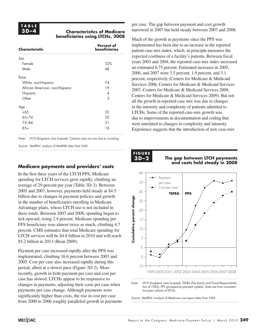#### **3D –4 Characteristics of Medicare beneficiaries using LTCHs, 2008**

| <b>Characteristic</b>          | <b>Percent of</b><br>beneficiaries |
|--------------------------------|------------------------------------|
| Sex                            |                                    |
| Female                         | 52%                                |
| Male                           | 48                                 |
| Race                           |                                    |
| White, non-Hispanic            | 74                                 |
| African American, non-Hispanic | 19                                 |
| <b>Hispanic</b>                | 4                                  |
| Other                          | 3                                  |
| Age                            |                                    |
| <65                            | 22                                 |
| $65 - 74$                      | 30                                 |
| $75 - 84$                      | 31                                 |
| $85+$                          | 18                                 |

Note: LTCH (long-term care hospital). Columns may not sum due to rounding.

Source: MedPAC analysis of MedPAR data from CMS

### **Medicare payments and providers' costs**

In the first three years of the LTCH PPS, Medicare spending for LTCH services grew rapidly, climbing an average of 29 percent per year (Table 3D-3). Between 2005 and 2007, however, payments held steady at \$4.5 billion due to changes in payment policies and growth in the number of beneficiaries enrolling in Medicare Advantage plans, whose LTCH use is not included in these totals. Between 2007 and 2008, spending began to tick upward, rising 2.4 percent. Medicare spending per FFS beneficiary rose almost twice as much, climbing 4.7 percent. CMS estimates that total Medicare spending for LTCH services will be \$4.8 billion in 2010 and will reach \$5.2 billion in 2013 (Bean 2009).

Payment per case increased rapidly after the PPS was implemented, climbing 16.6 percent between 2003 and 2005. Cost per case also increased rapidly during this period, albeit at a slower pace (Figure 3D-2). More recently, growth in both payment per case and cost per case has slowed. LTCHs appear to be responsive to changes in payments, adjusting their costs per case when payments per case change. Although payments were significantly higher than costs, the rise in cost per case from 2000 to 2006 roughly paralleled growth in payments per case. The gap between payment and cost growth narrowed in 2007 but held steady between 2007 and 2008.

Much of the growth in payments since the PPS was implemented has been due to an increase in the reported patient case-mix index, which, in principle measures the expected costliness of a facility's patients. Between fiscal years 2003 and 2004, the reported case-mix index increased an estimated 6.75 percent. Estimated increases in 2005, 2006, and 2007 were 3.5 percent, 1.9 percent, and 3.1 percent, respectively (Centers for Medicare & Medicaid Services 2006, Centers for Medicare & Medicaid Services 2007, Centers for Medicare & Medicaid Services 2008, Centers for Medicare & Medicaid Services 2009). But not all the growth in reported case mix was due to changes in the intensity and complexity of patients admitted to LTCHs. Some of the reported case-mix growth was due to improvements in documentation and coding that were unrelated to changes in complexity and intensity. Experience suggests that the introduction of new case-mix

# **F I G U R E FIGURE** 1GUR<br>3**d-2**0

#### **3D –2 The gap between LTCH payments risen faster than costs since the PPS and costs held steady in 2008 LTCHs' payments per case have**



Note: LTCH (long-term care hospital), TEFRA (Tax Equity and Fiscal Responsibility Act of 1982), PPS (prospective payment system). Data are from consistent two-year cohorts of LTCHs.

Source: MedPAC analysis of Medicare cost report data from CMS.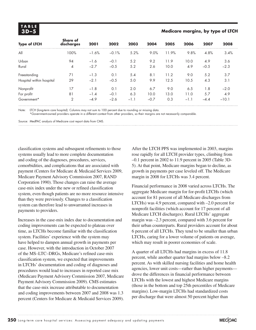# **T A B L E**

#### **3D –5 Medicare margins, by type of LTCH**

| <b>Type of LTCH</b>      | <b>Share of</b><br>discharges | 2001    | 2002    | 2003   | 2004   | 2005  | 2006   | 2007   | 2008    |
|--------------------------|-------------------------------|---------|---------|--------|--------|-------|--------|--------|---------|
| All                      | 100%                          | $-1.6%$ | $-0.1%$ | 5.2%   | 9.0%   | 11.9% | 9.8%   | 4.8%   | 3.4%    |
| Urban                    | 94                            | $-1.6$  | $-0.1$  | 5.2    | 9.2    | 11.9  | 10.0   | 4.9    | 3.6     |
| Rural                    | 4                             | $-2.7$  | $-0.5$  | 5.2    | 2.6    | 10.0  | 4.9    | $-0.5$ | $-2.3$  |
| Freestanding             | 71                            | $-1.3$  | 0.1     | 5.4    | 8.1    | 11.2  | 9.0    | 5.2    | 3.7     |
| Hospital within hospital | 29                            | $-2.1$  | $-0.5$  | 5.0    | 9.9    | 12.5  | 10.5   | 4.3    | 3.1     |
| Nonprofit                | 17                            | $-1.8$  | 0.1     | 2.0    | 6.7    | 9.0   | 6.5    | 1.8    | $-2.0$  |
| For profit               | 81                            | $-1.4$  | $-0.1$  | 6.3    | 10.0   | 13.0  | 11.0   | 5.7    | 4.9     |
| Government*              | 2                             | $-4.9$  | $-2.6$  | $-1.1$ | $-0.7$ | 0.3   | $-1.1$ | $-4.4$ | $-10.1$ |

Note: LTCH (long-term care hospital). Columns may not sum to 100 percent due to rounding or missing data.

\*Government-owned providers operate in a different context from other providers, so their margins are not necessarily comparable.

Source: MedPAC analysis of Medicare cost report data from CMS.

classification systems and subsequent refinements to those systems usually lead to more complete documentation and coding of the diagnoses, procedures, services, comorbidities, and complications that are associated with payment (Centers for Medicare & Medicaid Services 2009, Medicare Payment Advisory Commission 2007, RAND Corporation 1990). Those changes can raise the average case-mix index under the new or refined classification system, even though patients are no more resource intensive than they were previously. Changes to a classification system can therefore lead to unwarranted increases in payments to providers.

Increases in the case-mix index due to documentation and coding improvements can be expected to plateau over time, as LTCHs become familiar with the classification system. Facilities' experience with the system may have helped to dampen annual growth in payments per case. However, with the introduction in October 2007 of the MS–LTC–DRGs, Medicare's refined case-mix classification system, we expected that improvements in LTCHs' documentation and coding of diagnoses and procedures would lead to increases in reported case mix (Medicare Payment Advisory Commission 2007, Medicare Payment Advisory Commission 2009). CMS estimates that the case-mix increase attributable to documentation and coding improvements between 2007 and 2008 was 1.3 percent (Centers for Medicare & Medicaid Services 2009). After the LTCH PPS was implemented in 2003, margins rose rapidly for all LTCH provider types, climbing from –0.1 percent in 2002 to 11.9 percent in 2005 (Table 3D-5). At that point, Medicare margins began to decline, as growth in payments per case leveled off. The Medicare margin in 2008 for LTCHs was 3.4 percent.

Financial performance in 2008 varied across LTCHs. The aggregate Medicare margin for for-profit LTCHs (which account for 81 percent of all Medicare discharges from LTCHs) was 4.9 percent, compared with –2.0 percent for nonprofit facilities (which account for 17 percent of all Medicare LTCH discharges). Rural LTCHs' aggregate margin was –2.3 percent, compared with 3.6 percent for their urban counterparts. Rural providers account for about 6 percent of all LTCHs. They tend to be smaller than urban LTCHs, caring for a lower volume of patients on average, which may result in poorer economies of scale.

A quarter of all LTCHs had margins in excess of 11.8 percent, while another quarter had margins below –8.2 percent. As with skilled nursing facilities and home health agencies, lower unit costs—rather than higher payments drove the differences in financial performance between LTCHs with the lowest and highest Medicare margins (those in the bottom and top 25th percentiles of Medicare margins). Low-margin LTCHs had standardized costs per discharge that were almost 50 percent higher than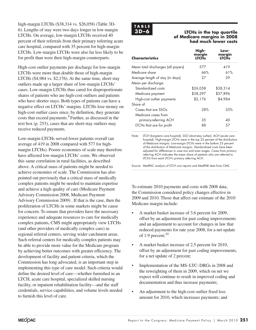high-margin LTCHs (\$38,314 vs. \$26,058) (Table 3D-6). Lengths of stay were two days longer in low-margin LTCHs. On average, low-margin LTCHs received 40 percent of their referrals from their primary referring acute care hospital, compared with 35 percent for high-margin LTCHs. Low-margin LTCHs were also far less likely to be for profit than were their high-margin counterparts.

High-cost outlier payments per discharge for low-margin LTCHs were more than double those of high-margin LTCHs (\$4,984 vs. \$2,176). At the same time, short-stay outliers made up a larger share of low-margin LTCHs' cases. Low-margin LTCHs thus cared for disproportionate shares of patients who are high-cost outliers and patients who have shorter stays. Both types of patients can have a negative effect on LTCHs' margins. LTCHs lose money on high-cost outlier cases since, by definition, they generate costs that exceed payments.9 Further, as discussed in the text box (p. 253), cases that are short-stay outliers may receive reduced payments.

Low-margin LTCHs served fewer patients overall (an average of 419 in 2008 compared with 577 for highmargin LTCHs). Poorer economies of scale may therefore have affected low-margin LTCHs' costs. We observed this same correlation in rural facilities, as described above. A critical mass of patients might be needed to achieve economies of scale. The Commission has also pointed out previously that a critical mass of medically complex patients might be needed to maintain expertise and achieve a high quality of care (Medicare Payment Advisory Commission 2008, Medicare Payment Advisory Commission 2009) . If that is the case, then the proliferation of LTCHs in some markets might be cause for concern. To ensure that providers have the necessary experience and adequate resources to care for medically complex patients, CMS might appropriately view LTCHs (and other providers of medically complex care) as regional referral centers, serving wider catchment areas. Such referral centers for medically complex patients may be able to provide more value for the Medicare program by achieving better outcomes with greater efficiency. The development of facility and patient criteria, which the Commission has long advocated, is an important step in implementing this type of care model. Such criteria would define the desired level of care—whether furnished in an LTCH, acute care hospital, specialized skilled nursing facility, or inpatient rehabilitation facility—and the staff credentials, service capabilities, and volume levels needed to furnish this level of care.

# **T A B L E**

#### **3D –6 LTCHs in the top quartile of Medicare margins in 2008 had much lower costs**

| <b>Characteristics</b>             | High-<br>margin<br><b>LTCHs</b> | Low-<br>margin<br>ITCH< |
|------------------------------------|---------------------------------|-------------------------|
| Mean total discharges (all payers) | 577                             | 419                     |
| Medicare share                     | 66%                             | 61%                     |
| Average length of stay (in days)   | 27                              | 29                      |
| Mean per discharge:                |                                 |                         |
| Standardized costs                 | \$26,058                        | \$38,314                |
| Medicare payment                   | \$38,297                        | \$37,896                |
| High-cost outlier payments         | \$2,176                         | \$4,984                 |
| Share of:                          |                                 |                         |
| Cases that are SSOs                | 28%                             | 3.5%                    |
| Medicare cases from                |                                 |                         |
| primary-referring ACH              | 35                              | 40                      |
| LTCHs that are for profit          | 88                              | 57                      |

Note: LTCH (long-term care hospital), SSO (short-stay outlier), ACH (acute care hospital). High-margin LTCHs were in the top 25 percent of the distribution of Medicare margins. Low-margin LTCHs were in the bottom 25 percent of the distribution of Medicare margins. Standardized costs have been adjusted for differences in case mix and area wages. Cases from primary referring ACH indicates the mean share of patients who are referred to LTCHs from each LTCH's primary referring ACH.

Source: MedPAC analysis of LTCH cost reports and MedPAR data from CMS.

To estimate 2010 payments and costs with 2008 data, the Commission considered policy changes effective in 2009 and 2010. Those that affect our estimate of the 2010 Medicare margin include:

- A market basket increase of 3.6 percent for 2009, offset by an adjustment for past coding improvements and an adjustment to account for changes in law that reduced payments for rate year 2008, for a net update of 1.9 percent; $10$
- A market basket increase of 2.5 percent for 2010, offset by an adjustment for past coding improvements, for a net update of 2 percent;
- Implementation of the MS–LTC–DRGs in 2008 and the reweighting of them in 2009, which on net we expect will continue to result in improved coding and documentation and thus increase payments;
- An adjustment to the high-cost outlier fixed loss amount for 2010, which increases payments; and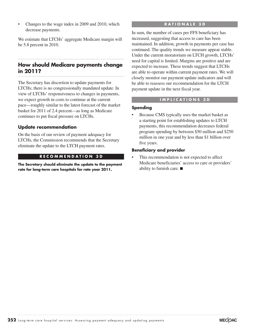• Changes to the wage index in 2009 and 2010, which decrease payments.

We estimate that LTCHs' aggregate Medicare margin will be 5.8 percent in 2010.

# **How should Medicare payments change in 2011?**

The Secretary has discretion to update payments for LTCHs; there is no congressionally mandated update. In view of LTCHs' responsiveness to changes in payments, we expect growth in costs to continue at the current pace—roughly similar to the latest forecast of the market basket for 2011 of 2.4 percent—as long as Medicare continues to put fiscal pressure on LTCHs.

### **Update recommendation**

On the basis of our review of payment adequacy for LTCHs, the Commission recommends that the Secretary eliminate the update to the LTCH payment rates.

#### **R E C O M M E N D A T I O N 3 D**

**The Secretary should eliminate the update to the payment rate for long-term care hospitals for rate year 2011.**

#### **R A T I O N A L E 3 D**

In sum, the number of cases per FFS beneficiary has increased, suggesting that access to care has been maintained. In addition, growth in payments per case has continued. The quality trends we measure appear stable. Under the current moratorium on LTCH growth, LTCHs' need for capital is limited. Margins are positive and are expected to increase. These trends suggest that LTCHs are able to operate within current payment rates. We will closely monitor our payment update indicators and will be able to reassess our recommendation for the LTCH payment update in the next fiscal year.

#### **I M P L I C A T I O N S 3 D**

#### **Spending**

Because CMS typically uses the market basket as a starting point for establishing updates to LTCH payments, this recommendation decreases federal program spending by between \$50 million and \$250 million in one year and by less than \$1 billion over five years.

#### **Beneficiary and provider**

This recommendation is not expected to affect Medicare beneficiaries' access to care or providers' ability to furnish care. ■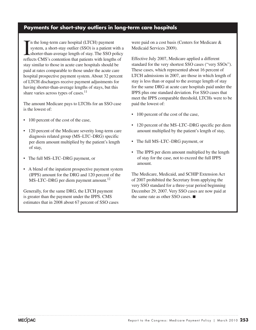## **Payments for short-stay outliers in long-term care hospitals**

I is the long-term care hospital (LTCH) payment<br>system, a short-stay outlier (SSO) is a patient with a<br>shorter-than-average length of stay. The SSO policy n the long-term care hospital (LTCH) payment system, a short-stay outlier (SSO) is a patient with a reflects CMS's contention that patients with lengths of stay similar to those in acute care hospitals should be paid at rates comparable to those under the acute care hospital prospective payment system. About 32 percent of LTCH discharges receive payment adjustments for having shorter-than-average lengths of stays, but this share varies across types of cases. $11$ 

The amount Medicare pays to LTCHs for an SSO case is the lowest of:

- 100 percent of the cost of the case,
- 120 percent of the Medicare severity long-term care diagnosis related group (MS–LTC–DRG) specific per diem amount multiplied by the patient's length of stay,
- The full MS–LTC–DRG payment, or
- A blend of the inpatient prospective payment system (IPPS) amount for the DRG and 120 percent of the MS–LTC–DRG per diem payment amount.<sup>12</sup>

Generally, for the same DRG, the LTCH payment is greater than the payment under the IPPS. CMS estimates that in 2008 about 67 percent of SSO cases were paid on a cost basis (Centers for Medicare & Medicaid Services 2009).

Effective July 2007, Medicare applied a different standard for the very shortest SSO cases ("very SSOs"). These cases, which represented about 16 percent of LTCH admissions in 2007, are those in which length of stay is less than or equal to the average length of stay for the same DRG at acute care hospitals paid under the IPPS plus one standard deviation. For SSO cases that meet the IPPS comparable threshold, LTCHs were to be paid the lowest of:

- 100 percent of the cost of the case,
- 120 percent of the MS–LTC–DRG specific per diem amount multiplied by the patient's length of stay,
- The full MS–LTC–DRG payment, or
- The IPPS per diem amount multiplied by the length of stay for the case, not to exceed the full IPPS amount.

The Medicare, Medicaid, and SCHIP Extension Act of 2007 prohibited the Secretary from applying the very SSO standard for a three-year period beginning December 29, 2007. Very SSO cases are now paid at the same rate as other SSO cases. ■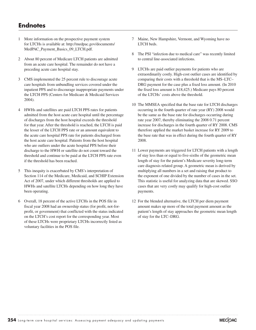# **Endnotes**

- 1 More information on the prospective payment system for LTCHs is available at: http://medpac.gov/documents/ MedPAC\_Payment\_Basics\_09\_LTCH.pdf.
- 2 About 80 percent of Medicare LTCH patients are admitted from an acute care hospital. The remainder do not have a preceding acute care hospital stay.
- 3 CMS implemented the 25 percent rule to discourage acute care hospitals from unbundling services covered under the inpatient PPS and to discourage inappropriate payments under the LTCH PPS (Centers for Medicare & Medicaid Services 2004).
- 4 HWHs and satellites are paid LTCH PPS rates for patients admitted from the host acute care hospital until the percentage of discharges from the host hospital exceeds the threshold for that year. After the threshold is reached, the LTCH is paid the lesser of the LTCH PPS rate or an amount equivalent to the acute care hospital PPS rate for patients discharged from the host acute care hospital. Patients from the host hospital who are outliers under the acute hospital PPS before their discharge to the HWH or satellite do not count toward the threshold and continue to be paid at the LTCH PPS rate even if the threshold has been reached.
- 5 This inequity is exacerbated by CMS's interpretation of Section 114 of the Medicare, Medicaid, and SCHIP Extension Act of 2007, under which different thresholds are applied to HWHs and satellite LTCHs depending on how long they have been operating.
- 6 Overall, 18 percent of the active LTCHs in the POS file in fiscal year 2008 had an ownership status (for profit, not-forprofit, or government) that conflicted with the status indicated on the LTCH's cost report for the corresponding year. Most of these LTCHs were proprietary LTCHs incorrectly listed as voluntary facilities in the POS file.
- 7 Maine, New Hampshire, Vermont, and Wyoming have no LTCH beds.
- 8 The PSI "infection due to medical care" was recently limited to central line-associated infections.
- 9 LTCHs are paid outlier payments for patients who are extraordinarily costly. High-cost outlier cases are identified by comparing their costs with a threshold that is the MS–LTC– DRG payment for the case plus a fixed loss amount. (In 2010 the fixed loss amount is \$18,425.) Medicare pays 80 percent of the LTCHs' costs above the threshold.
- 10 The MMSEA specified that the base rate for LTCH discharges occurring in the fourth quarter of rate year (RY) 2008 would be the same as the base rate for discharges occurring during rate year 2007, thereby eliminating the 2008 0.71 percent increase for discharges in the fourth quarter of RY 2008. CMS therefore applied the market basket increase for RY 2009 to the base rate that was in effect during the fourth quarter of RY 2008.
- 11 Lower payments are triggered for LTCH patients with a length of stay less than or equal to five-sixths of the geometric mean length of stay for the patient's Medicare severity long-term care diagnosis related group. A geometric mean is derived by multiplying all numbers in a set and raising that product to the exponent of one divided by the number of cases in the set. This statistic is useful for analyzing data that are skewed. SSO cases that are very costly may qualify for high-cost outlier payments.
- 12 For the blended alternative, the LTCH per diem payment amount makes up more of the total payment amount as the patient's length of stay approaches the geometric mean length of stay for the LTC–DRG.